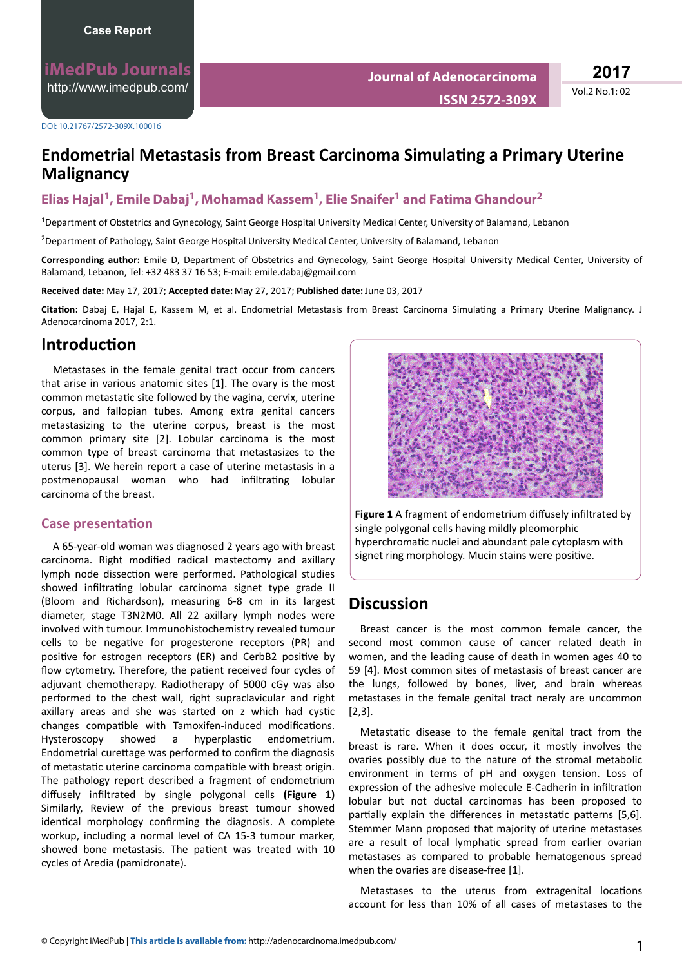**iMedPub Journals** <http://www.imedpub.com/>

DOI: 10.21767/2572-309X.100016

# **Endometrial Metastasis from Breast Carcinoma Simulating a Primary Uterine Malignancy**

### **Elias Hajal<sup>1</sup> , Emile Dabaj<sup>1</sup> , Mohamad Kassem<sup>1</sup> , Elie Snaifer<sup>1</sup> and Fatima Ghandour<sup>2</sup>**

<sup>1</sup>Department of Obstetrics and Gynecology, Saint George Hospital University Medical Center, University of Balamand, Lebanon

<sup>2</sup>Department of Pathology, Saint George Hospital University Medical Center, University of Balamand, Lebanon

**Corresponding author:** Emile D, Department of Obstetrics and Gynecology, Saint George Hospital University Medical Center, University of Balamand, Lebanon, Tel: +32 483 37 16 53; E-mail: emile.dabaj@gmail.com

**Received date:** May 17, 2017; **Accepted date:** May 27, 2017; **Published date:** June 03, 2017

Citation: Dabaj E, Hajal E, Kassem M, et al. Endometrial Metastasis from Breast Carcinoma Simulating a Primary Uterine Malignancy. J Adenocarcinoma 2017, 2:1.

### *<u>Introduction</u>*

Metastases in the female genital tract occur from cancers that arise in various anatomic sites [1]. The ovary is the most common metastatic site followed by the vagina, cervix, uterine corpus, and fallopian tubes. Among extra genital cancers metastasizing to the uterine corpus, breast is the most common primary site [2]. Lobular carcinoma is the most common type of breast carcinoma that metastasizes to the uterus [3]. We herein report a case of uterine metastasis in a postmenopausal woman who had infiltrating lobular carcinoma of the breast.

#### **Case presentation**

A 65-year-old woman was diagnosed 2 years ago with breast carcinoma. Right modified radical mastectomy and axillary lymph node dissection were performed. Pathological studies showed infiltrating lobular carcinoma signet type grade II (Bloom and Richardson), measuring 6-8 cm in its largest diameter, stage T3N2M0. All 22 axillary lymph nodes were involved with tumour. Immunohistochemistry revealed tumour cells to be negative for progesterone receptors (PR) and positive for estrogen receptors (ER) and CerbB2 positive by flow cytometry. Therefore, the patient received four cycles of adjuvant chemotherapy. Radiotherapy of 5000 cGy was also performed to the chest wall, right supraclavicular and right axillary areas and she was started on z which had cystic changes compatible with Tamoxifen-induced modifications. Hysteroscopy showed a hyperplastic endometrium. Endometrial curettage was performed to confirm the diagnosis of metastatic uterine carcinoma compatible with breast origin. The pathology report described a fragment of endometrium diffusely infiltrated by single polygonal cells (Figure 1) Similarly, Review of the previous breast tumour showed identical morphology confirming the diagnosis. A complete workup, including a normal level of CA 15-3 tumour marker, showed bone metastasis. The patient was treated with 10 cycles of Aredia (pamidronate).



Figure 1 A fragment of endometrium diffusely infiltrated by single polygonal cells having mildly pleomorphic hyperchromatic nuclei and abundant pale cytoplasm with signet ring morphology. Mucin stains were positive.

## **Discussion**

Breast cancer is the most common female cancer, the second most common cause of cancer related death in women, and the leading cause of death in women ages 40 to 59 [4]. Most common sites of metastasis of breast cancer are the lungs, followed by bones, liver, and brain whereas metastases in the female genital tract neraly are uncommon [2,3].

Metastatic disease to the female genital tract from the breast is rare. When it does occur, it mostly involves the ovaries possibly due to the nature of the stromal metabolic environment in terms of pH and oxygen tension. Loss of expression of the adhesive molecule E-Cadherin in infiltration lobular but not ductal carcinomas has been proposed to partially explain the differences in metastatic patterns [5,6]. Stemmer Mann proposed that majority of uterine metastases are a result of local lymphatic spread from earlier ovarian metastases as compared to probable hematogenous spread when the ovaries are disease-free [1].

Metastases to the uterus from extragenital locations account for less than 10% of all cases of metastases to the